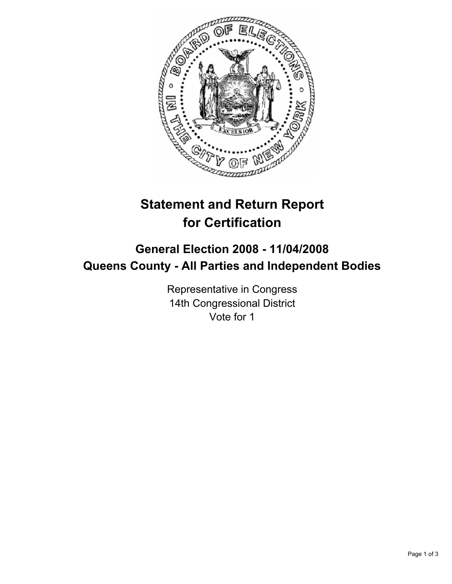

# **Statement and Return Report for Certification**

# **General Election 2008 - 11/04/2008 Queens County - All Parties and Independent Bodies**

Representative in Congress 14th Congressional District Vote for 1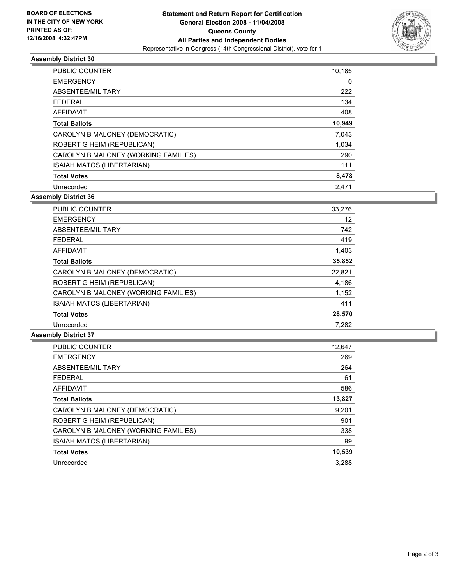

## **Assembly District 30**

| <b>PUBLIC COUNTER</b>                | 10,185 |
|--------------------------------------|--------|
| <b>EMERGENCY</b>                     | 0      |
| ABSENTEE/MILITARY                    | 222    |
| <b>FEDERAL</b>                       | 134    |
| <b>AFFIDAVIT</b>                     | 408    |
| <b>Total Ballots</b>                 | 10,949 |
| CAROLYN B MALONEY (DEMOCRATIC)       | 7,043  |
| ROBERT G HEIM (REPUBLICAN)           | 1,034  |
| CAROLYN B MALONEY (WORKING FAMILIES) | 290    |
| <b>ISAIAH MATOS (LIBERTARIAN)</b>    | 111    |
| <b>Total Votes</b>                   | 8,478  |
| Unrecorded                           | 2.471  |

**Assembly District 36**

| PUBLIC COUNTER                       | 33,276 |
|--------------------------------------|--------|
| <b>EMERGENCY</b>                     | 12     |
| ABSENTEE/MILITARY                    | 742    |
| <b>FEDERAL</b>                       | 419    |
| <b>AFFIDAVIT</b>                     | 1,403  |
| <b>Total Ballots</b>                 | 35,852 |
| CAROLYN B MALONEY (DEMOCRATIC)       | 22,821 |
| ROBERT G HEIM (REPUBLICAN)           | 4,186  |
| CAROLYN B MALONEY (WORKING FAMILIES) | 1,152  |
| <b>ISAIAH MATOS (LIBERTARIAN)</b>    | 411    |
| <b>Total Votes</b>                   | 28,570 |
| Unrecorded                           | 7.282  |

#### **Assembly District 37**